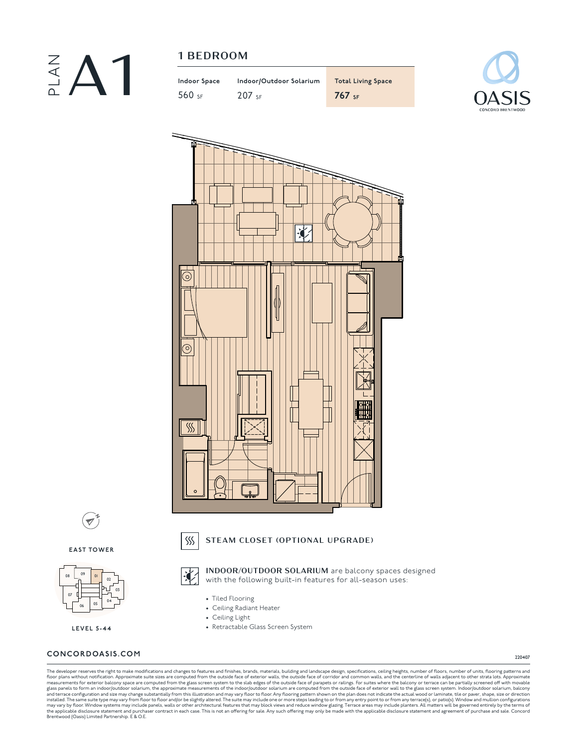

| Indoor Space | Indoor/Outdoor Solarium | <b>Total Living Space</b> |
|--------------|-------------------------|---------------------------|
| 560 sf       | $207$ <sub>SF</sub>     | $767$ SF                  |





**N**  $\overline{\mathscr{O}}$ 

**EAST TOWER**



**LEVEL 5-44**

#### **CONCORDOASIS.COM**

220407

The developer reserves the right to make modifications and changes to features and finishes, brands, materials, building and landscape design, specifications, celling heights, number of floors, number of units, flooring pa

STEAM CLOSET (OPTIONAL UPGRADE)

• Tiled Flooring • Ceiling Radiant Heater • Ceiling Light

 $SS$ 

讠

• Retractable Glass Screen System

INDOOR/OUTDOOR SOLARIUM are balcony spaces designed with the following built-in features for all-season uses: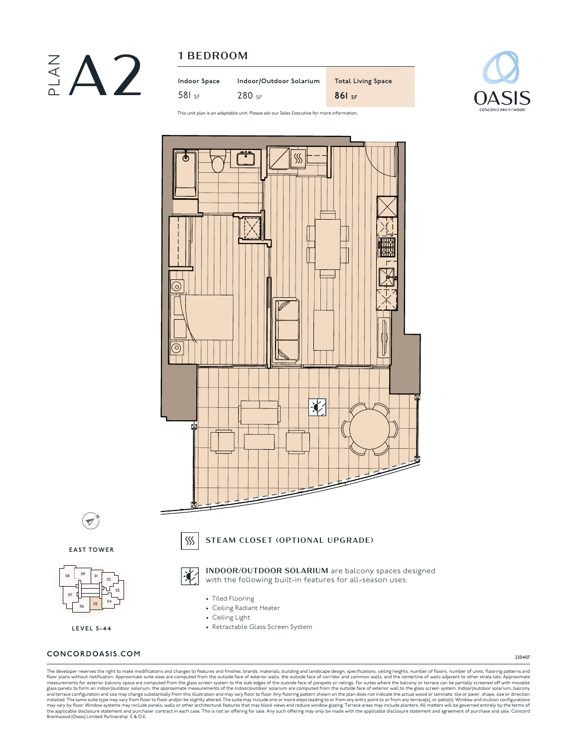

|   | 1 BEDROOM    |                         |                           |
|---|--------------|-------------------------|---------------------------|
| ∩ | Indoor Space | Indoor/Outdoor Solarium | <b>Total Living Space</b> |
|   | $581$ SF     | $280$ <sub>SF</sub>     | $861$ SF                  |



This unit plan is an adaptable unit. Please ask our Sales Executive for more information.



**EAST TOWER**

 $\blacktriangledown$ 

**N**



**LEVEL 5-44**

## **CONCORDOASIS.COM**

220407

The developer reserves the right to make modifications and changes to features and finishes, brands, materials, building and landscape design, specifications, celling heights, number of floors, number of units, flooring pa

• Tiled Flooring • Ceiling Radiant Heater • Ceiling Light

• Retractable Glass Screen System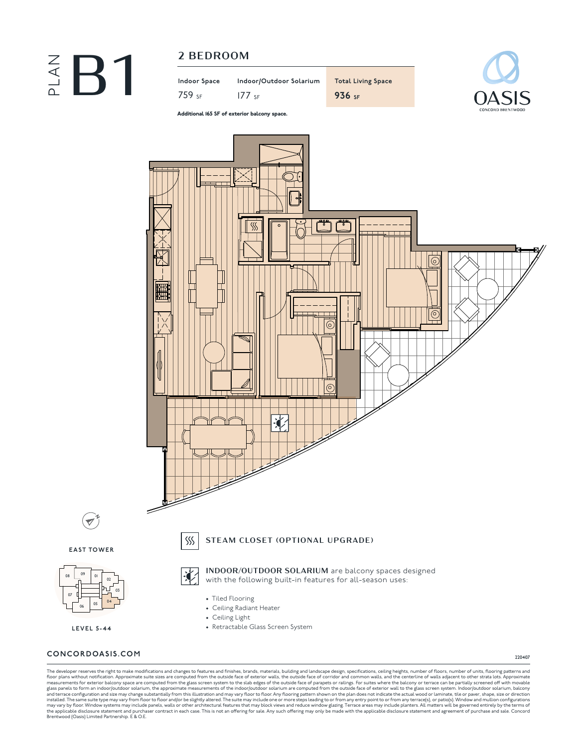

759 SF 177 SF **936 SF**

**Indoor Space Indoor/Outdoor Solarium Total Living Space**



Additional 165 SF of exterior balcony space.



## **CONCORDOASIS.COM**

07

<sup>08</sup> <sup>09</sup>

**N**

220407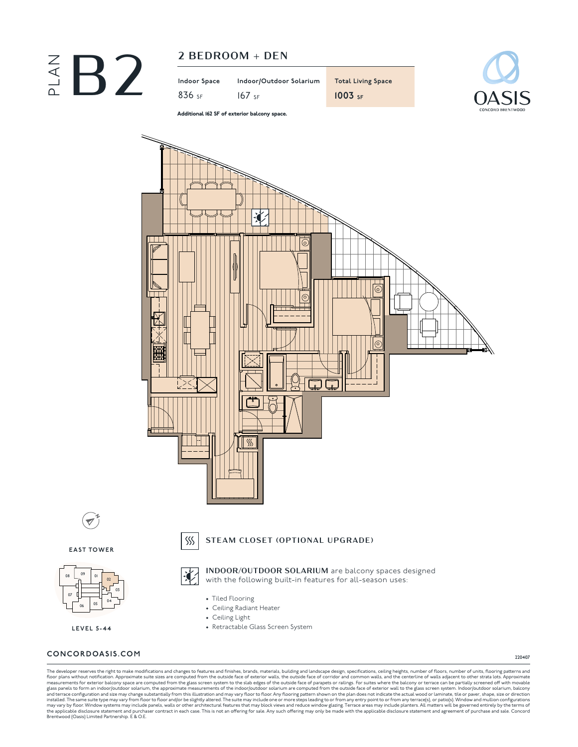



**N**  $\overline{\mathscr{O}}$ 

STEAM CLOSET (OPTIONAL UPGRADE)

• Tiled Flooring • Ceiling Radiant Heater • Ceiling Light

 $SS$ 

• Retractable Glass Screen System

INDOOR/OUTDOOR SOLARIUM are balcony spaces designed with the following built-in features for all-season uses:

**EAST TOWER**



**LEVEL 5-44**

## **CONCORDOASIS.COM**

220407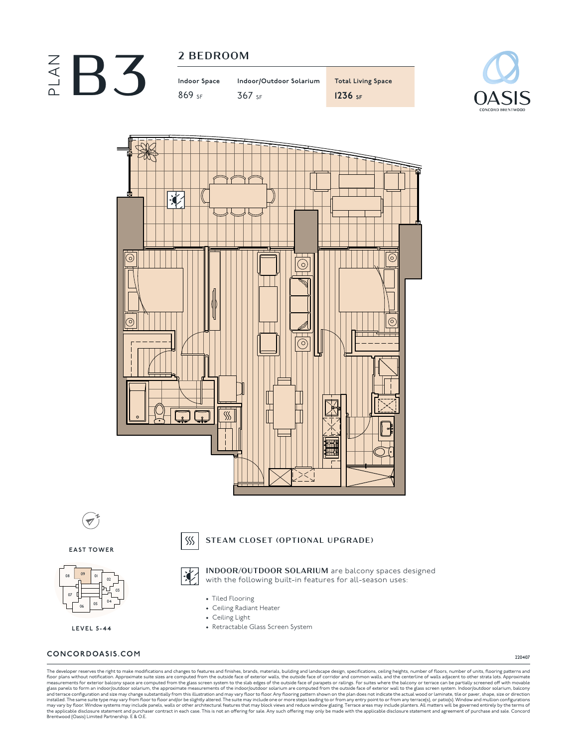

869 SF 367 SF **1236 SF**

**Indoor Space Indoor/Outdoor Solarium Total Living Space**





**N**  $\overline{\mathscr{O}}$ 

#### STEAM CLOSET (OPTIONAL UPGRADE)

• Tiled Flooring • Ceiling Radiant Heater • Ceiling Light

 $SS$ 

• Retractable Glass Screen System

INDOOR/OUTDOOR SOLARIUM are balcony spaces designed with the following built-in features for all-season uses:

**EAST TOWER**



**LEVEL 5-44**

#### **CONCORDOASIS.COM**

220407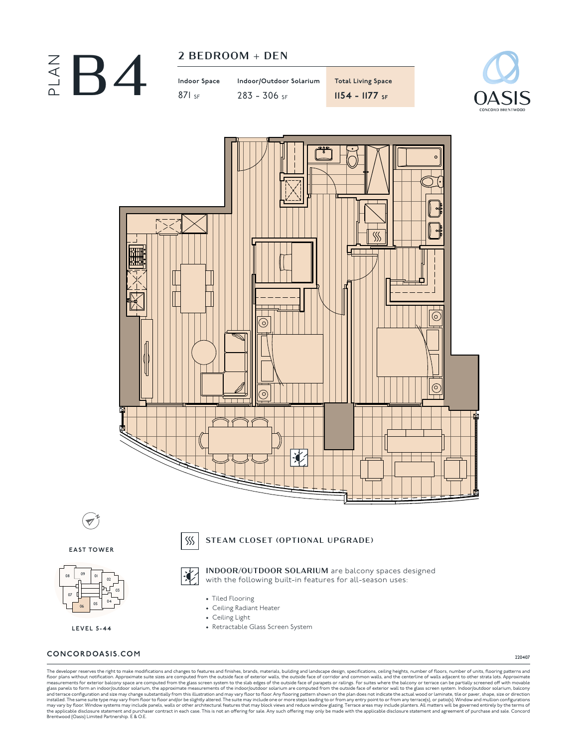| 2 BEDROOM + |  |
|-------------|--|
|             |  |



| Indoor Space | Indoor/Outdoor Solarium | <b>Total Living Space</b> |
|--------------|-------------------------|---------------------------|
| $871$ SF     | $283 - 306$ SF          | $1154 - 1177$ SF          |





**N**

STEAM CLOSET (OPTIONAL UPGRADE)

INDOOR/OUTDOOR SOLARIUM are balcony spaces designed

**EAST TOWER**



**LEVEL 5-44**

# with the following built-in features for all-season uses:

 $SS$ 

- Tiled Flooring
- Ceiling Radiant Heater
- Ceiling Light
- Retractable Glass Screen System

## **CONCORDOASIS.COM**

220407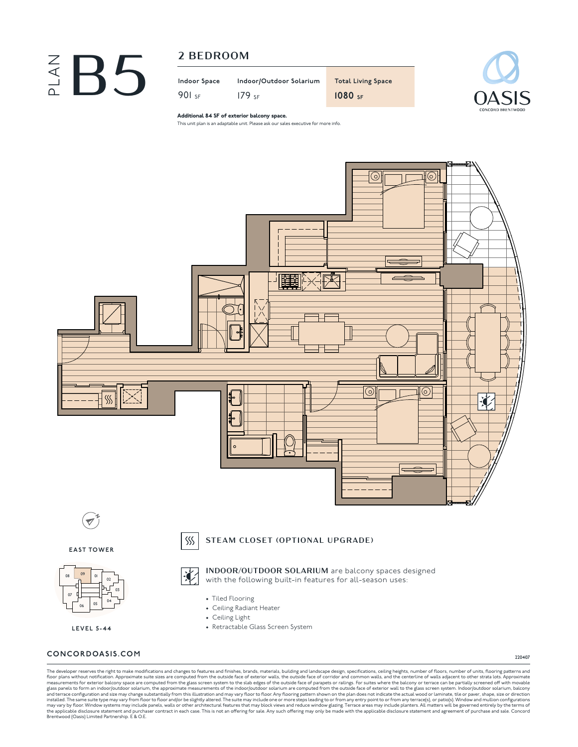# $\begin{array}{ccc} \mathcal{Z} & \mathbf{3} \\ \hline \mathbf{4} & \mathbf{5} \end{array}$   $\begin{array}{ccc} \mathcal{Z} & \mathsf{BEDRoom} \\ \mathsf{Indoor Space} & \mathsf{Indco} \\ \mathsf{901} & \mathsf{SF} & \mathsf{179} \end{array}$

**Indoor Space Indoor/Outdoor Solarium Total Living Space** 179 SF **1080 SF**



Additional 84 SF of exterior balcony space.

This unit plan is an adaptable unit. Please ask our sales executive for more info.



**EAST TOWER**



**LEVEL 5-44**

## STEAM CLOSET (OPTIONAL UPGRADE)



 $SS$ 

INDOOR/OUTDOOR SOLARIUM are balcony spaces designed with the following built-in features for all-season uses:

- Tiled Flooring
- Ceiling Radiant Heater
- Ceiling Light
- Retractable Glass Screen System

## **CONCORDOASIS.COM**

220407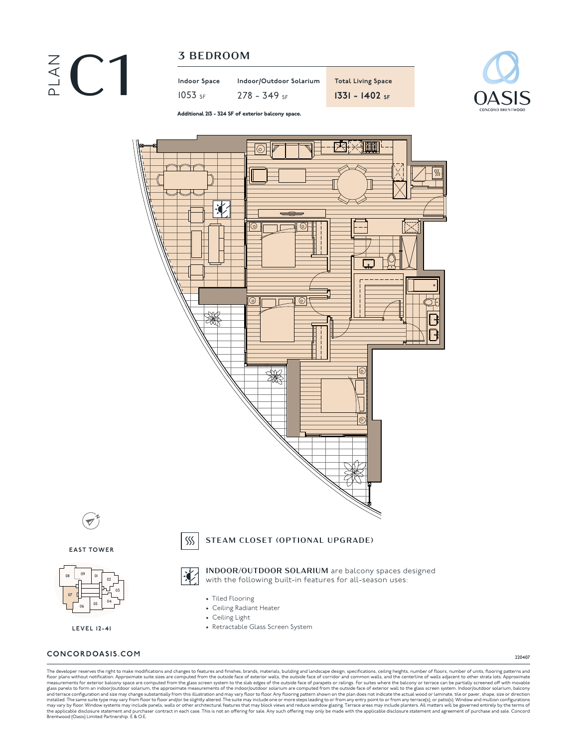

**Indoor Space Indoor/Outdoor Solarium Total Living Space**



Additional 213 - 324 SF of exterior balcony space.



## **CONCORDOASIS.COM**

07

220407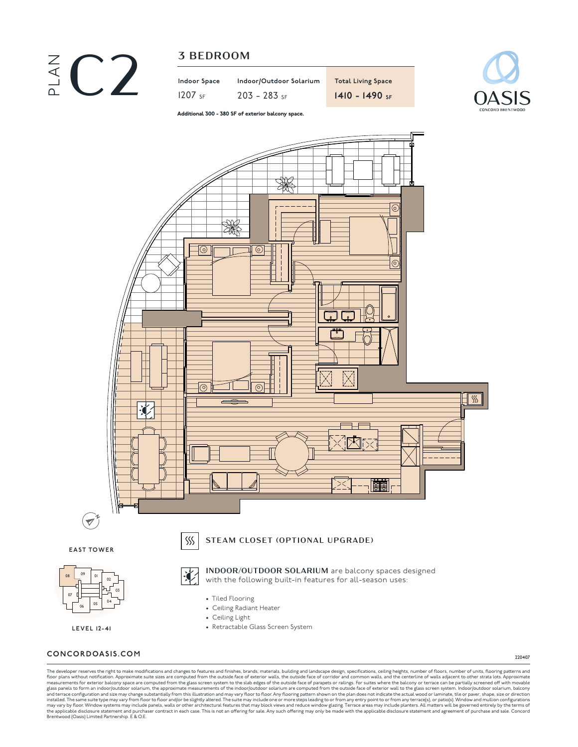

| Indoor Space         | Indoor/Outdoo  |
|----------------------|----------------|
| $1207$ <sub>SF</sub> | $203 - 283$ SF |





Additional 300 - 380 SF of exterior balcony space.



**CONCORDOASIS.COM**

220407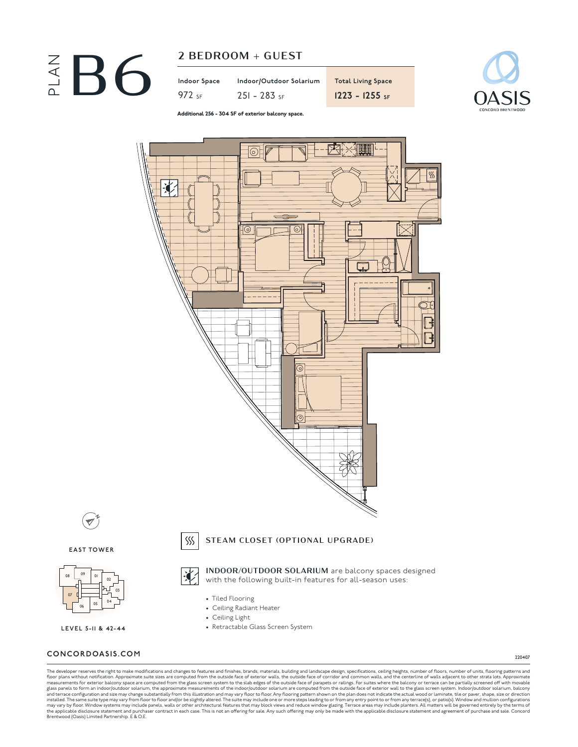



Additional 256 - 304 SF of exterior balcony space.



220407